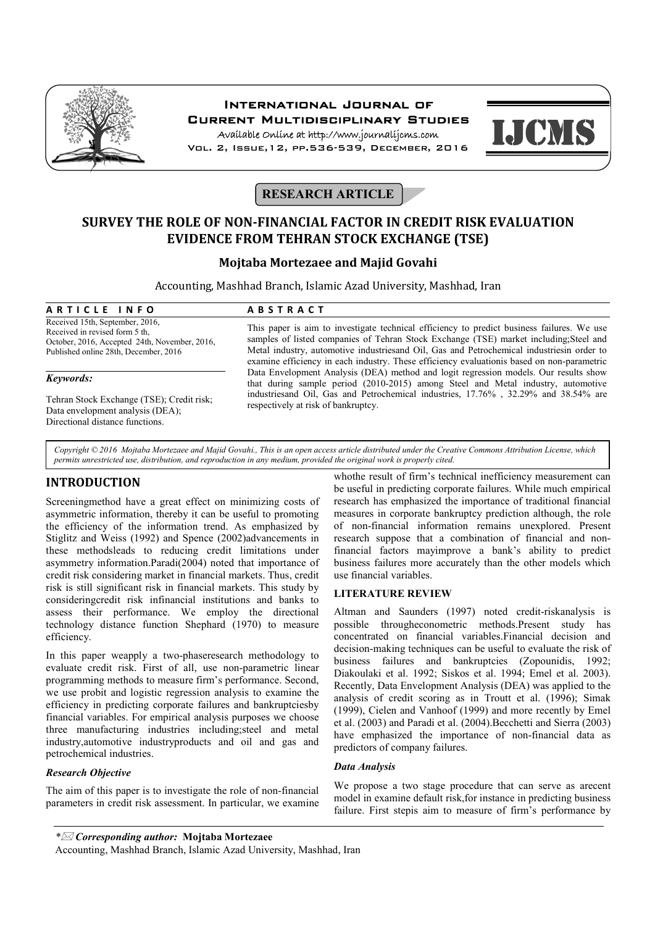

## International Journal of Current Multidisciplinary Studies

Available Online at http://www.journalijcms.com Vol. 2, Issue,12, pp.536-539, December, 2016



# **RESEARCH ARTICLE**

## **SURVEY THE ROLE OF NON-FINANCIAL FACTOR IN CREDIT RISK EVALUATION EVIDENCE FROM TEHRAN STOCK EXCHANGE (TSE)**

### **Mojtaba Mortezaee and Majid Govahi**

Accounting, Mashhad Branch, Islamic Azad University, Mashhad, Iran

| ARTICLE INFO                                  | <b>ABSTRACT</b>                                                                             |
|-----------------------------------------------|---------------------------------------------------------------------------------------------|
| Received 15th, September, 2016,               | This paper is aim to investigate technical efficiency to predict business failures. We us   |
| Received in revised form 5 th.                | samples of listed companies of Tehran Stock Exchange (TSE) market including; Steel an       |
| October, 2016, Accepted 24th, November, 2016, | Metal industry, automotive industries and Oil, Gas and Petrochemical industries in order to |
| Published online 28th, December, 2016         | graming officianor in sook industry. Those officianor avaluationic hosed on non normatry    |

#### *Keywords:*

Tehran Stock Exchange (TSE); Credit risk; Data envelopment analysis (DEA); Directional distance functions.

This paper is aim to investigate technical efficiency to predict business failures. We use samples of listed companies of Tehran Stock Exchange (TSE) market including;Steel and Metal industry, automotive industriesand Oil, Gas and Petrochemical industriesin order to examine efficiency in each industry. These efficiency evaluationis based on non-parametric Data Envelopment Analysis (DEA) method and logit regression models. Our results show that during sample period (2010-2015) among Steel and Metal industry, automotive industriesand Oil, Gas and Petrochemical industries, 17.76% , 32.29% and 38.54% are respectively at risk of bankruptcy.

*Copyright © 2016 Mojtaba Mortezaee and Majid Govahi., This is an open access article distributed under the Creative Commons Attribution License, which permits unrestricted use, distribution, and reproduction in any medium, provided the original work is properly cited.*

## **INTRODUCTION**

Screeningmethod have a great effect on minimizing costs of asymmetric information, thereby it can be useful to promoting the efficiency of the information trend. As emphasized by Stiglitz and Weiss (1992) and Spence (2002)advancements in these methodsleads to reducing credit limitations under asymmetry information.Paradi(2004) noted that importance of credit risk considering market in financial markets. Thus, credit risk is still significant risk in financial markets. This study by consideringcredit risk infinancial institutions and banks to assess their performance. We employ the directional technology distance function Shephard (1970) to measure efficiency.

In this paper weapply a two-phaseresearch methodology to evaluate credit risk. First of all, use non-parametric linear programming methods to measure firm's performance. Second, we use probit and logistic regression analysis to examine the efficiency in predicting corporate failures and bankruptciesby financial variables. For empirical analysis purposes we choose three manufacturing industries including;steel and metal industry,automotive industryproducts and oil and gas and petrochemical industries.

### *Research Objective*

The aim of this paper is to investigate the role of non-financial parameters in credit risk assessment. In particular, we examine

whothe result of firm's technical inefficiency measurement can be useful in predicting corporate failures. While much empirical research has emphasized the importance of traditional financial measures in corporate bankruptcy prediction although, the role of non-financial information remains unexplored. Present research suppose that a combination of financial and nonfinancial factors mayimprove a bank's ability to predict business failures more accurately than the other models which use financial variables.

### **LITERATURE REVIEW**

Altman and Saunders (1997) noted credit-riskanalysis is possible througheconometric methods.Present study has concentrated on financial variables.Financial decision and decision-making techniques can be useful to evaluate the risk of business failures and bankruptcies (Zopounidis, 1992; Diakoulaki et al. 1992; Siskos et al. 1994; Emel et al. 2003). Recently, Data Envelopment Analysis (DEA) was applied to the analysis of credit scoring as in Troutt et al. (1996); Simak (1999), Cielen and Vanhoof (1999) and more recently by Emel et al. (2003) and Paradi et al. (2004).Becchetti and Sierra (2003) have emphasized the importance of non-financial data as predictors of company failures.

### *Data Analysis*

We propose a two stage procedure that can serve as arecent model in examine default risk,for instance in predicting business failure. First stepis aim to measure of firm's performance by

Accounting, Mashhad Branch, Islamic Azad University, Mashhad, Iran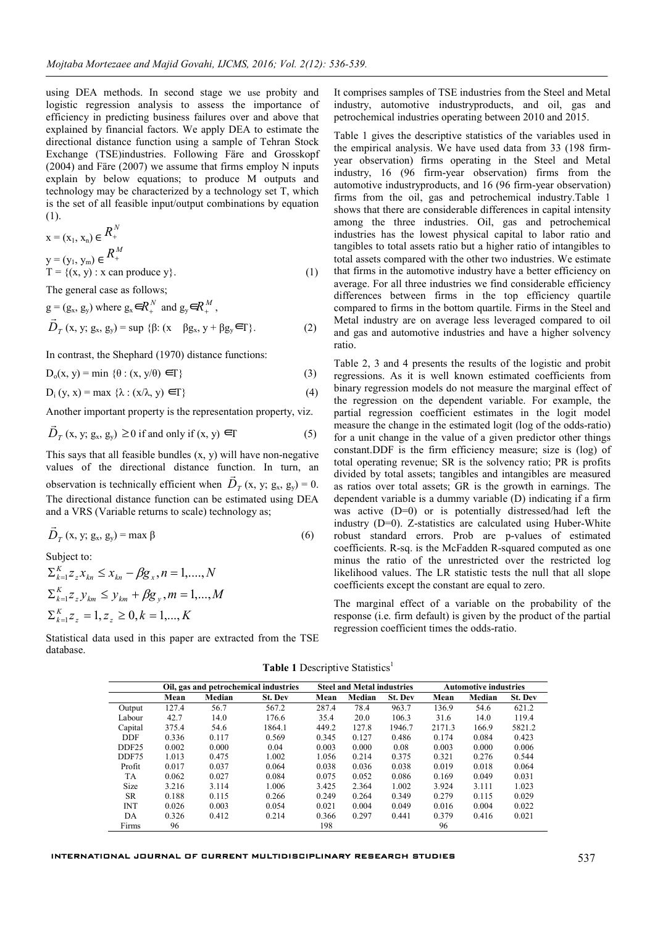using DEA methods. In second stage we use probity and logistic regression analysis to assess the importance of efficiency in predicting business failures over and above that explained by financial factors. We apply DEA to estimate the directional distance function using a sample of Tehran Stock Exchange (TSE)industries. Following Färe and Grosskopf (2004) and Färe (2007) we assume that firms employ N inputs explain by below equations; to produce M outputs and technology may be characterized by a technology set T, which is the set of all feasible input/output combinations by equation (1).

$$
x = (x_1, x_n) \in R_+^N
$$
  
\n
$$
y = (y_1, y_m) \in R_+^M
$$
  
\n
$$
T = \{(x, y) : x \text{ can produce } y\}.
$$
  
\n(1)

The general case as follows;

 $g = (g_x, g_y)$  where  $g_x \in R_{\perp}^N$  and  $g_y \in R_{\perp}^M$ ,  $\vec{D}_T$  (x, y; g<sub>x</sub>, g<sub>y</sub>) = sup {β: (x βg<sub>x</sub>, y + βg<sub>y</sub>  $\in$ Γ}. (2)

In contrast, the Shephard (1970) distance functions:

 $D_0(x, y) = min \{ \theta : (x, y/\theta) \in \Gamma \}$  (3)

 $D_i (y, x) = max \{ \lambda : (x/\lambda, y) \in \Gamma \}$  (4)

Another important property is the representation property, viz.

$$
\vec{D}_T(x, y; g_x, g_y) \ge 0 \text{ if and only if } (x, y) \in \Gamma \tag{5}
$$

This says that all feasible bundles  $(x, y)$  will have non-negative values of the directional distance function. In turn, an values of the differential distance function. In turn, and observation is technically efficient when  $\vec{D}_T$  (x, y; g<sub>x</sub>, g<sub>y</sub>) = 0. The directional distance function can be estimated using DEA and a VRS (Variable returns to scale) technology as;

$$
\vec{D}_T \left( x, y; g_x, g_y \right) = \max \beta \tag{6}
$$

Subject to:

 $\sum_{k=1}^{K} Z_{z} X_{kn} \leq X_{kn} - \beta g_{x}, n = 1, \ldots, N$  $\sum_{k=1}^{K} Z_{z} y_{km} \leq y_{km} + \beta g_{y}$ ,  $m = 1,...,M$  $\sum_{k=1}^{K} z_{z} = 1, z_{z} \ge 0, k = 1,..., K$ 

Statistical data used in this paper are extracted from the TSE database.

It comprises samples of TSE industries from the Steel and Metal industry, automotive industryproducts, and oil, gas and petrochemical industries operating between 2010 and 2015.

Table 1 gives the descriptive statistics of the variables used in the empirical analysis. We have used data from 33 (198 firmyear observation) firms operating in the Steel and Metal industry, 16 (96 firm-year observation) firms from the automotive industryproducts, and 16 (96 firm-year observation) firms from the oil, gas and petrochemical industry.Table 1 shows that there are considerable differences in capital intensity among the three industries. Oil, gas and petrochemical industries has the lowest physical capital to labor ratio and tangibles to total assets ratio but a higher ratio of intangibles to total assets compared with the other two industries. We estimate that firms in the automotive industry have a better efficiency on average. For all three industries we find considerable efficiency differences between firms in the top efficiency quartile compared to firms in the bottom quartile. Firms in the Steel and Metal industry are on average less leveraged compared to oil and gas and automotive industries and have a higher solvency ratio.

Table 2, 3 and 4 presents the results of the logistic and probit regressions. As it is well known estimated coefficients from binary regression models do not measure the marginal effect of the regression on the dependent variable. For example, the partial regression coefficient estimates in the logit model measure the change in the estimated logit (log of the odds-ratio) for a unit change in the value of a given predictor other things constant.DDF is the firm efficiency measure; size is (log) of total operating revenue; SR is the solvency ratio; PR is profits divided by total assets; tangibles and intangibles are measured as ratios over total assets; GR is the growth in earnings. The dependent variable is a dummy variable (D) indicating if a firm was active (D=0) or is potentially distressed/had left the industry (D=0). Z-statistics are calculated using Huber-White robust standard errors. Prob are p-values of estimated coefficients. R-sq. is the McFadden R-squared computed as one minus the ratio of the unrestricted over the restricted log likelihood values. The LR statistic tests the null that all slope coefficients except the constant are equal to zero.

The marginal effect of a variable on the probability of the response (i.e. firm default) is given by the product of the partial regression coefficient times the odds-ratio.

**Table 1** Descriptive Statistics<sup>1</sup>

|                   | Oil, gas and petrochemical industries |        |                | <b>Steel and Metal industries</b> |        |                | <b>Automotive industries</b> |        |                |
|-------------------|---------------------------------------|--------|----------------|-----------------------------------|--------|----------------|------------------------------|--------|----------------|
|                   | Mean                                  | Median | <b>St. Dev</b> | Mean                              | Median | <b>St. Dev</b> | Mean                         | Median | <b>St. Dev</b> |
| Output            | 127.4                                 | 56.7   | 567.2          | 287.4                             | 78.4   | 963.7          | 136.9                        | 54.6   | 621.2          |
| Labour            | 42.7                                  | 14.0   | 176.6          | 35.4                              | 20.0   | 106.3          | 31.6                         | 14.0   | 119.4          |
| Capital           | 375.4                                 | 54.6   | 1864.1         | 449.2                             | 127.8  | 1946.7         | 2171.3                       | 166.9  | 5821.2         |
| <b>DDF</b>        | 0.336                                 | 0.117  | 0.569          | 0.345                             | 0.127  | 0.486          | 0.174                        | 0.084  | 0.423          |
| DDF <sub>25</sub> | 0.002                                 | 0.000  | 0.04           | 0.003                             | 0.000  | 0.08           | 0.003                        | 0.000  | 0.006          |
| DDF75             | 1.013                                 | 0.475  | 1.002          | 1.056                             | 0.214  | 0.375          | 0.321                        | 0.276  | 0.544          |
| Profit            | 0.017                                 | 0.037  | 0.064          | 0.038                             | 0.036  | 0.038          | 0.019                        | 0.018  | 0.064          |
| <b>TA</b>         | 0.062                                 | 0.027  | 0.084          | 0.075                             | 0.052  | 0.086          | 0.169                        | 0.049  | 0.031          |
| Size              | 3.216                                 | 3.114  | 1.006          | 3.425                             | 2.364  | 1.002          | 3.924                        | 3.111  | 1.023          |
| <b>SR</b>         | 0.188                                 | 0.115  | 0.266          | 0.249                             | 0.264  | 0.349          | 0.279                        | 0.115  | 0.029          |
| <b>INT</b>        | 0.026                                 | 0.003  | 0.054          | 0.021                             | 0.004  | 0.049          | 0.016                        | 0.004  | 0.022          |
| DA                | 0.326                                 | 0.412  | 0.214          | 0.366                             | 0.297  | 0.441          | 0.379                        | 0.416  | 0.021          |
| Firms             | 96                                    |        |                | 198                               |        |                | 96                           |        |                |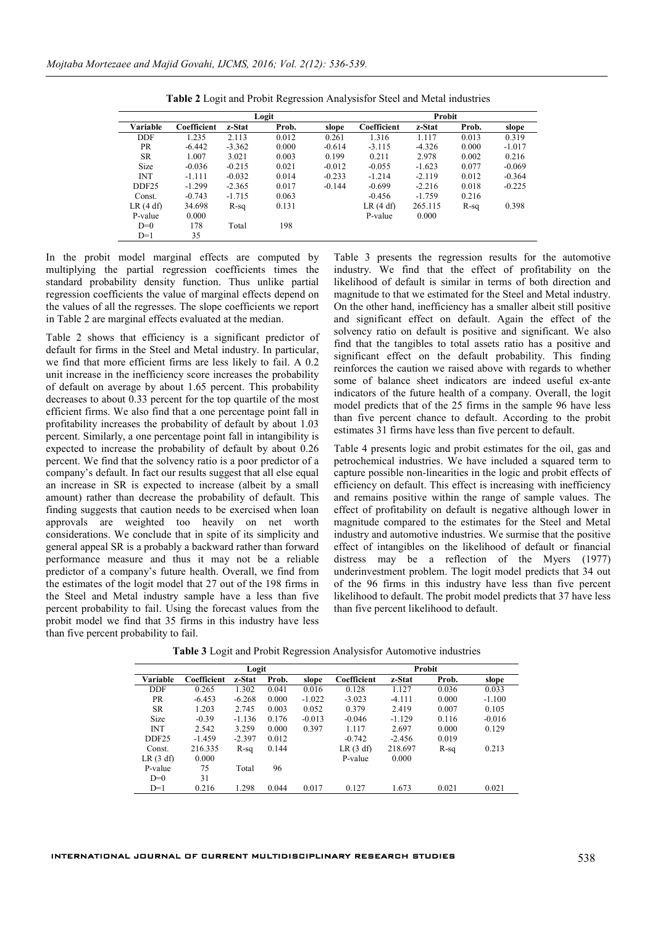|                   |             |          | Logit |          | Probit      |          |       |          |  |
|-------------------|-------------|----------|-------|----------|-------------|----------|-------|----------|--|
| Variable          | Coefficient | z-Stat   | Prob. | slope    | Coefficient | z-Stat   | Prob. | slope    |  |
| <b>DDF</b>        | 1.235       | 2.113    | 0.012 | 0.261    | 1.316       | 1.117    | 0.013 | 0.319    |  |
| <b>PR</b>         | $-6.442$    | $-3.362$ | 0.000 | $-0.614$ | $-3.115$    | $-4.326$ | 0.000 | $-1.017$ |  |
| <b>SR</b>         | 1.007       | 3.021    | 0.003 | 0.199    | 0.211       | 2.978    | 0.002 | 0.216    |  |
| <b>Size</b>       | $-0.036$    | $-0.215$ | 0.021 | $-0.012$ | $-0.055$    | $-1.623$ | 0.077 | $-0.069$ |  |
| <b>INT</b>        | $-1.111$    | $-0.032$ | 0.014 | $-0.233$ | $-1.214$    | $-2.119$ | 0.012 | $-0.364$ |  |
| DDF <sub>25</sub> | $-1.299$    | $-2.365$ | 0.017 | $-0.144$ | $-0.699$    | $-2.216$ | 0.018 | $-0.225$ |  |
| Const.            | $-0.743$    | $-1.715$ | 0.063 |          | $-0.456$    | $-1.759$ | 0.216 |          |  |
| LR(4 df)          | 34.698      | R-sq     | 0.131 |          | LR(4 df)    | 265.115  | R-sq  | 0.398    |  |
| P-value           | 0.000       |          |       |          | P-value     | 0.000    |       |          |  |
| $D=0$             | 178         | Total    | 198   |          |             |          |       |          |  |
| $D=1$             | 35          |          |       |          |             |          |       |          |  |

**Table 2** Logit and Probit Regression Analysisfor Steel and Metal industries

In the probit model marginal effects are computed by multiplying the partial regression coefficients times the standard probability density function. Thus unlike partial regression coefficients the value of marginal effects depend on the values of all the regresses. The slope coefficients we report in Table 2 are marginal effects evaluated at the median.

Table 2 shows that efficiency is a significant predictor of default for firms in the Steel and Metal industry. In particular, we find that more efficient firms are less likely to fail. A 0.2 unit increase in the inefficiency score increases the probability of default on average by about 1.65 percent. This probability decreases to about 0.33 percent for the top quartile of the most efficient firms. We also find that a one percentage point fall in profitability increases the probability of default by about 1.03 percent. Similarly, a one percentage point fall in intangibility is expected to increase the probability of default by about 0.26 percent. We find that the solvency ratio is a poor predictor of a company's default. In fact our results suggest that all else equal an increase in SR is expected to increase (albeit by a small amount) rather than decrease the probability of default. This finding suggests that caution needs to be exercised when loan approvals are weighted too heavily on net worth considerations. We conclude that in spite of its simplicity and general appeal SR is a probably a backward rather than forward performance measure and thus it may not be a reliable predictor of a company's future health. Overall, we find from the estimates of the logit model that 27 out of the 198 firms in the Steel and Metal industry sample have a less than five percent probability to fail. Using the forecast values from the probit model we find that 35 firms in this industry have less than five percent probability to fail.

Table 3 presents the regression results for the automotive industry. We find that the effect of profitability on the likelihood of default is similar in terms of both direction and magnitude to that we estimated for the Steel and Metal industry. On the other hand, inefficiency has a smaller albeit still positive and significant effect on default. Again the effect of the solvency ratio on default is positive and significant. We also find that the tangibles to total assets ratio has a positive and significant effect on the default probability. This finding reinforces the caution we raised above with regards to whether some of balance sheet indicators are indeed useful ex-ante indicators of the future health of a company. Overall, the logit model predicts that of the 25 firms in the sample 96 have less than five percent chance to default. According to the probit estimates 31 firms have less than five percent to default.

Table 4 presents logic and probit estimates for the oil, gas and petrochemical industries. We have included a squared term to capture possible non-linearities in the logic and probit effects of efficiency on default. This effect is increasing with inefficiency and remains positive within the range of sample values. The effect of profitability on default is negative although lower in magnitude compared to the estimates for the Steel and Metal industry and automotive industries. We surmise that the positive effect of intangibles on the likelihood of default or financial distress may be a reflection of the Myers (1977) underinvestment problem. The logit model predicts that 34 out of the 96 firms in this industry have less than five percent likelihood to default. The probit model predicts that 37 have less than five percent likelihood to default.

|                   | Logit       |          |       |          |             | Probit   |       |          |  |  |
|-------------------|-------------|----------|-------|----------|-------------|----------|-------|----------|--|--|
| Variable          | Coefficient | z-Stat   | Prob. | slope    | Coefficient | z-Stat   | Prob. | slope    |  |  |
| <b>DDF</b>        | 0.265       | 1.302    | 0.041 | 0.016    | 0.128       | 1.127    | 0.036 | 0.033    |  |  |
| PR                | $-6.453$    | $-6.268$ | 0.000 | $-1.022$ | $-3.023$    | $-4.111$ | 0.000 | $-1.100$ |  |  |
| <b>SR</b>         | 1.203       | 2.745    | 0.003 | 0.052    | 0.379       | 2.419    | 0.007 | 0.105    |  |  |
| <b>Size</b>       | $-0.39$     | $-1.136$ | 0.176 | $-0.013$ | $-0.046$    | $-1.129$ | 0.116 | $-0.016$ |  |  |
| <b>INT</b>        | 2.542       | 3.259    | 0.000 | 0.397    | 1.117       | 2.697    | 0.000 | 0.129    |  |  |
| DDF <sub>25</sub> | $-1.459$    | $-2.397$ | 0.012 |          | $-0.742$    | $-2.456$ | 0.019 |          |  |  |
| Const.            | 216.335     | R-sq     | 0.144 |          | LR(3 df)    | 218.697  | R-sq  | 0.213    |  |  |
| LR(3 df)          | 0.000       |          |       |          | P-value     | 0.000    |       |          |  |  |
| P-value           | 75          | Total    | 96    |          |             |          |       |          |  |  |
| $D=0$             | 31          |          |       |          |             |          |       |          |  |  |
| $D=1$             | 0.216       | 1.298    | 0.044 | 0.017    | 0.127       | 1.673    | 0.021 | 0.021    |  |  |

**Table 3** Logit and Probit Regression Analysisfor Automotive industries